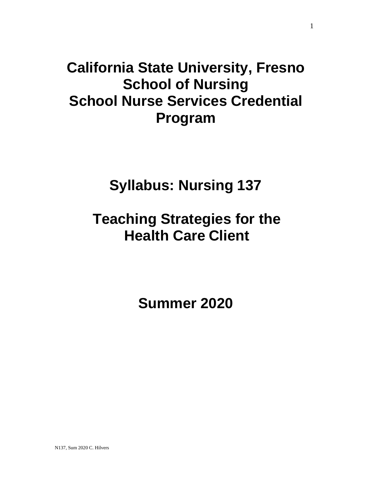# **California State University, Fresno School of Nursing School Nurse Services Credential Program**

# **Syllabus: Nursing 137**

# **Teaching Strategies for the Health Care Client**

**Summer 2020**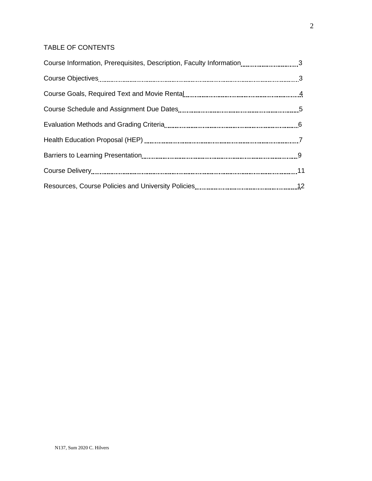# TABLE OF CONTENTS

| Course Information, Prerequisites, Description, Faculty Information3 |  |
|----------------------------------------------------------------------|--|
|                                                                      |  |
|                                                                      |  |
|                                                                      |  |
|                                                                      |  |
|                                                                      |  |
|                                                                      |  |
|                                                                      |  |
|                                                                      |  |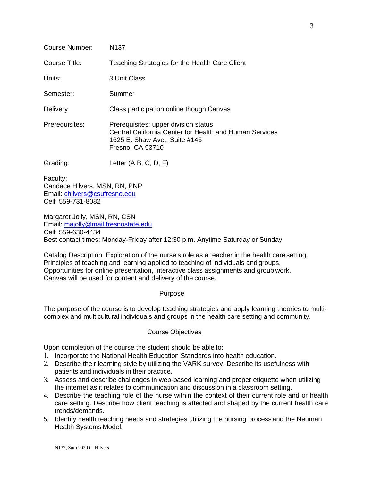| <b>Course Number:</b> | N <sub>137</sub>                                                                                                                                     |  |  |
|-----------------------|------------------------------------------------------------------------------------------------------------------------------------------------------|--|--|
| Course Title:         | Teaching Strategies for the Health Care Client                                                                                                       |  |  |
| Units:                | 3 Unit Class                                                                                                                                         |  |  |
| Semester:             | Summer                                                                                                                                               |  |  |
| Delivery:             | Class participation online though Canvas                                                                                                             |  |  |
| Prerequisites:        | Prerequisites: upper division status<br>Central California Center for Health and Human Services<br>1625 E. Shaw Ave., Suite #146<br>Fresno, CA 93710 |  |  |
| Grading:              | Letter $(A B, C, D, F)$                                                                                                                              |  |  |
| Faculty:              |                                                                                                                                                      |  |  |

Candace Hilvers, MSN, RN, PNP Email: [chilvers@csufresno.edu](mailto:chilvers@csufresno.edu) Cell: 559-731-8082

Margaret Jolly, MSN, RN, CSN Email: [majolly@mail.fresnostate.edu](mailto:majolly@mail.fresnostate.edu) Cell: 559-630-4434 Best contact times: Monday-Friday after 12:30 p.m. Anytime Saturday or Sunday

Catalog Description: Exploration of the nurse's role as a teacher in the health caresetting. Principles of teaching and learning applied to teaching of individuals and groups. Opportunities for online presentation, interactive class assignments and group work. Canvas will be used for content and delivery of the course.

#### Purpose

The purpose of the course is to develop teaching strategies and apply learning theories to multicomplex and multicultural individuals and groups in the health care setting and community.

# Course Objectives

Upon completion of the course the student should be able to:

- 1. Incorporate the National Health Education Standards into health education.
- 2. Describe their learning style by utilizing the VARK survey. Describe its usefulness with patients and individuals in their practice.
- 3. Assess and describe challenges in web-based learning and proper etiquette when utilizing the internet as it relates to communication and discussion in a classroom setting.
- 4. Describe the teaching role of the nurse within the context of their current role and or health care setting. Describe how client teaching is affected and shaped by the current health care trends/demands.
- 5. Identify health teaching needs and strategies utilizing the nursing process and the Neuman Health Systems Model.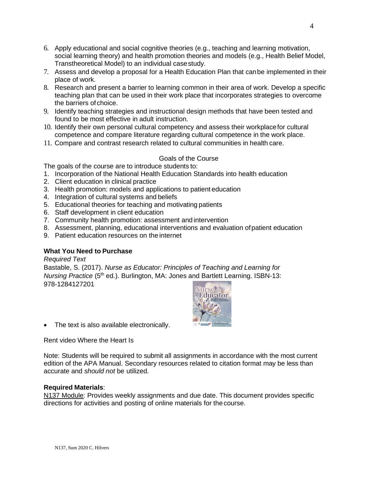- 6. Apply educational and social cognitive theories (e.g., teaching and learning motivation, social learning theory) and health promotion theories and models (e.g., Health Belief Model, Transtheoretical Model) to an individual casestudy.
- 7. Assess and develop a proposal for a Health Education Plan that canbe implemented in their place of work.
- 8. Research and present a barrier to learning common in their area of work. Develop a specific teaching plan that can be used in their work place that incorporates strategies to overcome the barriers of choice.
- 9. Identify teaching strategies and instructional design methods that have been tested and found to be most effective in adult instruction.
- 10. Identify their own personal cultural competency and assess their workplacefor cultural competence and compare literature regarding cultural competence in the work place.
- 11. Compare and contrast research related to cultural communities in health care.

## Goals of the Course

The goals of the course are to introduce students to:

- 1. Incorporation of the National Health Education Standards into health education
- 2. Client education in clinical practice
- 3. Health promotion: models and applications to patient education
- 4. Integration of cultural systems and beliefs
- 5. Educational theories for teaching and motivating patients
- 6. Staff development in client education
- 7. Community health promotion: assessment and intervention
- 8. Assessment, planning, educational interventions and evaluation ofpatient education
- 9. Patient education resources on the internet

# **What You Need to Purchase**

#### *Required Text*

Bastable, S. (2017). *Nurse as Educator: Principles of Teaching and Learning for Nursing Practice* (5<sup>th</sup> ed.). Burlington, MA: Jones and Bartlett Learning. ISBN-13: 978-1284127201



• The text is also available electronically.

Rent video Where the Heart Is

Note: Students will be required to submit all assignments in accordance with the most current edition of the APA Manual. Secondary resources related to citation format may be less than accurate and *should not* be utilized.

#### **Required Materials**:

N137 Module: Provides weekly assignments and due date. This document provides specific directions for activities and posting of online materials for the course.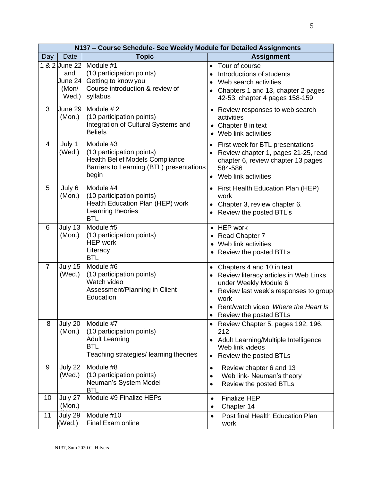| N137 - Course Schedule- See Weekly Module for Detailed Assignments |                                                   |                                                                                                                                         |                                                                                                                                                                                                                                |  |  |
|--------------------------------------------------------------------|---------------------------------------------------|-----------------------------------------------------------------------------------------------------------------------------------------|--------------------------------------------------------------------------------------------------------------------------------------------------------------------------------------------------------------------------------|--|--|
| Day                                                                | <b>Date</b>                                       | <b>Topic</b>                                                                                                                            | <b>Assignment</b>                                                                                                                                                                                                              |  |  |
|                                                                    | 1 & 2 June 22<br>and<br>June 24<br>(Mon/<br>Wed.) | Module #1<br>(10 participation points)<br>Getting to know you<br>Course introduction & review of<br>syllabus                            | Tour of course<br>$\bullet$<br>Introductions of students<br>$\bullet$<br>Web search activities<br>Chapters 1 and 13, chapter 2 pages<br>42-53, chapter 4 pages 158-159                                                         |  |  |
| 3                                                                  | June 29<br>(Mon.)                                 | Module #2<br>(10 participation points)<br>Integration of Cultural Systems and<br><b>Beliefs</b>                                         | • Review responses to web search<br>activities<br>• Chapter 8 in text<br>• Web link activities                                                                                                                                 |  |  |
| $\overline{4}$                                                     | July 1<br>(Wed.)                                  | Module $#3$<br>(10 participation points)<br><b>Health Belief Models Compliance</b><br>Barriers to Learning (BTL) presentations<br>begin | • First week for BTL presentations<br>Review chapter 1, pages 21-25, read<br>chapter 6, review chapter 13 pages<br>584-586<br>Web link activities<br>$\bullet$                                                                 |  |  |
| 5                                                                  | July 6<br>(Mon.)                                  | Module #4<br>(10 participation points)<br>Health Education Plan (HEP) work<br>Learning theories<br><b>BTL</b>                           | • First Health Education Plan (HEP)<br>work<br>Chapter 3, review chapter 6.<br>$\bullet$<br>• Review the posted BTL's                                                                                                          |  |  |
| 6                                                                  | July 13<br>(Mon.)                                 | Module #5<br>(10 participation points)<br><b>HEP</b> work<br>Literacy<br><b>BTL</b>                                                     | • HEP work<br>• Read Chapter 7<br>• Web link activities<br>• Review the posted BTLs                                                                                                                                            |  |  |
| $\overline{7}$                                                     | July 15<br>(Wed.)                                 | Module #6<br>(10 participation points)<br>Watch video<br>Assessment/Planning in Client<br>Education                                     | Chapters 4 and 10 in text<br>$\bullet$<br>• Review literacy articles in Web Links<br>under Weekly Module 6<br>Review last week's responses to group<br>work<br>• Rent/watch video Where the Heart Is<br>Review the posted BTLs |  |  |
| 8                                                                  | July 20<br>(Mon.)                                 | Module #7<br>(10 participation points)<br><b>Adult Learning</b><br><b>BTL</b><br>Teaching strategies/ learning theories                 | • Review Chapter 5, pages 192, 196,<br>212<br>Adult Learning/Multiple Intelligence<br>$\bullet$<br>Web link videos<br>Review the posted BTLs                                                                                   |  |  |
| 9                                                                  | July 22<br>(Wed.)                                 | Module #8<br>(10 participation points)<br>Neuman's System Model<br><b>BTL</b>                                                           | Review chapter 6 and 13<br>$\bullet$<br>Web link- Neuman's theory<br>$\bullet$<br>Review the posted BTLs<br>$\bullet$                                                                                                          |  |  |
| 10                                                                 | July 27<br>(Mon.)                                 | Module #9 Finalize HEPs                                                                                                                 | <b>Finalize HEP</b><br>$\bullet$<br>Chapter 14<br>$\bullet$                                                                                                                                                                    |  |  |
| 11                                                                 | July 29<br>(Wed.)                                 | Module #10<br>Final Exam online                                                                                                         | Post final Health Education Plan<br>$\bullet$<br>work                                                                                                                                                                          |  |  |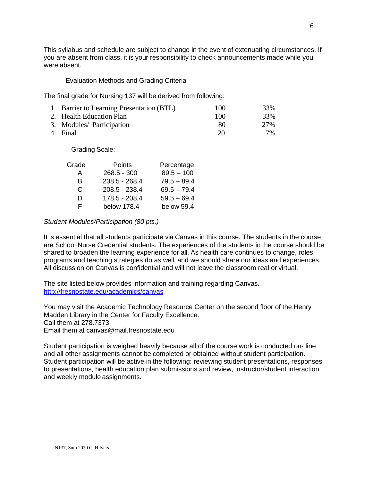This syllabus and schedule are subject to change in the event of extenuating circumstances. If you are absent from class, it is your responsibility to check announcements made while you were absent.

#### Evaluation Methods and Grading Criteria

The final grade for Nursing 137 will be derived from following:

| 1. Barrier to Learning Presentation (BTL) | 100 | 33% |
|-------------------------------------------|-----|-----|
| 2. Health Education Plan                  | 100 | 33% |
| 3. Modules/ Participation                 | 80  | 27% |
| 4. Final                                  | 20  | 7%  |

Grading Scale:

| Grade | <b>Points</b>   | Percentage    |  |
|-------|-----------------|---------------|--|
| A     | $268.5 - 300$   | $89.5 - 100$  |  |
| В     | $238.5 - 268.4$ | $79.5 - 89.4$ |  |
| C.    | 208.5 - 238.4   | $69.5 - 79.4$ |  |
| D     | 178.5 - 208.4   | $59.5 - 69.4$ |  |
| F.    | below 178.4     | below 59.4    |  |

#### *Student Modules/Participation (80 pts.)*

It is essential that all students participate via Canvas in this course. The students in the course are School Nurse Credential students. The experiences of the students in the course should be shared to broaden the learning experience for all. As health care continues to change, roles, programs and teaching strategies do as well, and we should share our ideas and experiences. All discussion on Canvas is confidential and will not leave the classroom real or virtual.

The site listed below provides information and training regarding Canvas. <http://fresnostate.edu/academics/canvas>

You may visit the Academic Technology Resource Center on the second floor of the Henry Madden Library in the Center for Faculty Excellence. Call them at 278.7373 Email them at canvas@mail.fresnostate.edu

Student participation is weighed heavily because all of the course work is conducted on- line and all other assignments cannot be completed or obtained without student participation. Student participation will be active in the following: reviewing student presentations, responses to presentations, health education plan submissions and review, instructor/student interaction and weekly module assignments.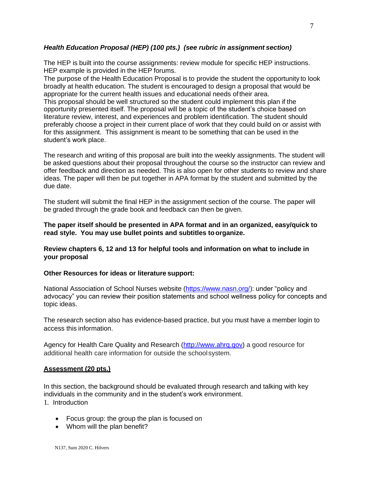## *Health Education Proposal (HEP) (100 pts.) (see rubric in assignment section)*

The HEP is built into the course assignments: review module for specific HEP instructions. HEP example is provided in the HEP forums.

The purpose of the Health Education Proposal is to provide the student the opportunity to look broadly at health education. The student is encouraged to design a proposal that would be appropriate for the current health issues and educational needs oftheir area. This proposal should be well structured so the student could implement this plan if the opportunity presented itself. The proposal will be a topic of the student's choice based on literature review, interest, and experiences and problem identification. The student should preferably choose a project in their current place of work that they could build on or assist with for this assignment. This assignment is meant to be something that can be used in the student's work place.

The research and writing of this proposal are built into the weekly assignments. The student will be asked questions about their proposal throughout the course so the instructor can review and offer feedback and direction as needed. This is also open for other students to review and share ideas. The paper will then be put together in APA format by the student and submitted by the due date.

The student will submit the final HEP in the assignment section of the course. The paper will be graded through the grade book and feedback can then be given.

**The paper itself should be presented in APA format and in an organized, easy/quick to read style. You may use bullet points and subtitles toorganize.**

**Review chapters 6, 12 and 13 for helpful tools and information on what to include in your proposal**

#### **Other Resources for ideas or literature support:**

National Association of School Nurses website [\(https://www.nasn.org/\)](https://www.nasn.org/): under "policy and advocacy" you can review their position statements and school wellness policy for concepts and topic ideas.

The research section also has evidence-based practice, but you must have a member login to access this information.

Agency for Health Care Quality and Research [\(http://www.ahrq.gov\)](http://www.ahrq.gov/) a good resource for additional health care information for outside the schoolsystem.

#### **Assessment (20 pts.)**

In this section, the background should be evaluated through research and talking with key individuals in the community and in the student's work environment. 1. Introduction

- Focus group: the group the plan is focused on
- Whom will the plan benefit?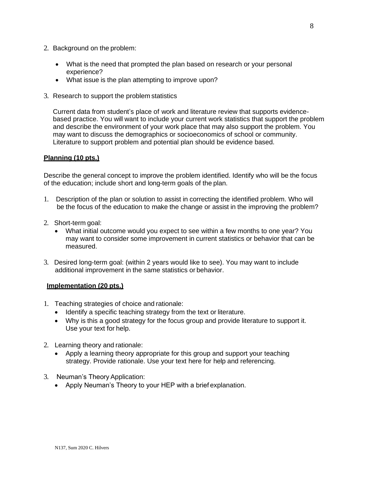- 2. Background on the problem:
	- What is the need that prompted the plan based on research or your personal experience?
	- What issue is the plan attempting to improve upon?
- 3. Research to support the problem statistics

Current data from student's place of work and literature review that supports evidencebased practice. You will want to include your current work statistics that support the problem and describe the environment of your work place that may also support the problem. You may want to discuss the demographics or socioeconomics of school or community. Literature to support problem and potential plan should be evidence based.

## **Planning (10 pts.)**

Describe the general concept to improve the problem identified. Identify who will be the focus of the education; include short and long-term goals of the plan.

- 1. Description of the plan or solution to assist in correcting the identified problem. Who will be the focus of the education to make the change or assist in the improving the problem?
- 2. Short-term goal:
	- What initial outcome would you expect to see within a few months to one year? You may want to consider some improvement in current statistics or behavior that can be measured.
- 3. Desired long-term goal: (within 2 years would like to see). You may want to include additional improvement in the same statistics or behavior.

#### **Implementation (20 pts.)**

- 1. Teaching strategies of choice and rationale:
	- Identify a specific teaching strategy from the text or literature.
	- Why is this a good strategy for the focus group and provide literature to support it. Use your text for help.
- 2. Learning theory and rationale:
	- Apply a learning theory appropriate for this group and support your teaching strategy. Provide rationale. Use your text here for help and referencing.
- 3. Neuman's Theory Application:
	- Apply Neuman's Theory to your HEP with a brief explanation.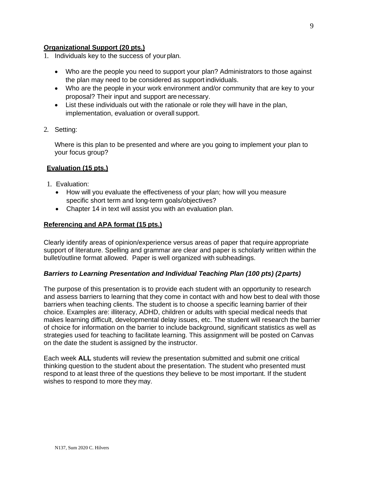### **Organizational Support (20 pts.)**

- 1. Individuals key to the success of your plan.
	- Who are the people you need to support your plan? Administrators to those against the plan may need to be considered as support individuals.
	- Who are the people in your work environment and/or community that are key to your proposal? Their input and support are necessary.
	- List these individuals out with the rationale or role they will have in the plan, implementation, evaluation or overall support.
- 2. Setting:

Where is this plan to be presented and where are you going to implement your plan to your focus group?

## **Evaluation (15 pts.)**

- 1. Evaluation:
	- How will you evaluate the effectiveness of your plan; how will you measure specific short term and long-term goals/objectives?
	- Chapter 14 in text will assist you with an evaluation plan.

#### **Referencing and APA format (15 pts.)**

Clearly identify areas of opinion/experience versus areas of paper that require appropriate support of literature. Spelling and grammar are clear and paper is scholarly written within the bullet/outline format allowed. Paper is well organized with subheadings.

#### *Barriers to Learning Presentation and Individual Teaching Plan (100 pts) (2parts)*

The purpose of this presentation is to provide each student with an opportunity to research and assess barriers to learning that they come in contact with and how best to deal with those barriers when teaching clients. The student is to choose a specific learning barrier of their choice. Examples are: illiteracy, ADHD, children or adults with special medical needs that makes learning difficult, developmental delay issues, etc. The student will research the barrier of choice for information on the barrier to include background, significant statistics as well as strategies used for teaching to facilitate learning. This assignment will be posted on Canvas on the date the student is assigned by the instructor.

Each week **ALL** students will review the presentation submitted and submit one critical thinking question to the student about the presentation. The student who presented must respond to at least three of the questions they believe to be most important. If the student wishes to respond to more they may.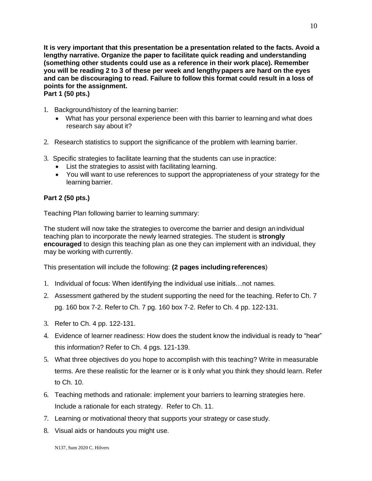**It is very important that this presentation be a presentation related to the facts. Avoid a lengthy narrative. Organize the paper to facilitate quick reading and understanding (something other students could use as a reference in their work place). Remember you will be reading 2 to 3 of these per week and lengthypapers are hard on the eyes and can be discouraging to read. Failure to follow this format could result in a loss of points for the assignment. Part 1 (50 pts.)**

- 1. Background/history of the learning barrier:
	- What has your personal experience been with this barrier to learning and what does research say about it?
- 2. Research statistics to support the significance of the problem with learning barrier.
- 3. Specific strategies to facilitate learning that the students can use in practice:
	- List the strategies to assist with facilitating learning.
	- You will want to use references to support the appropriateness of your strategy for the learning barrier.

# **Part 2 (50 pts.)**

Teaching Plan following barrier to learning summary:

The student will now take the strategies to overcome the barrier and design an individual teaching plan to incorporate the newly learned strategies. The student is **strongly encouraged** to design this teaching plan as one they can implement with an individual, they may be working with currently.

This presentation will include the following: **(2 pages includingreferences**)

- 1. Individual of focus: When identifying the individual use initials…not names.
- 2. Assessment gathered by the student supporting the need for the teaching. Refer to Ch. 7 pg. 160 box 7-2. Refer to Ch. 7 pg. 160 box 7-2. Refer to Ch. 4 pp. 122-131.
- 3. Refer to Ch. 4 pp. 122-131.
- 4. Evidence of learner readiness: How does the student know the individual is ready to "hear" this information? Refer to Ch. 4 pgs. 121-139.
- 5. What three objectives do you hope to accomplish with this teaching? Write in measurable terms. Are these realistic for the learner or is it only what you think they should learn. Refer to Ch. 10.
- 6. Teaching methods and rationale: implement your barriers to learning strategies here. Include a rationale for each strategy. Refer to Ch. 11.
- 7. Learning or motivational theory that supports your strategy or case study.
- 8. Visual aids or handouts you might use.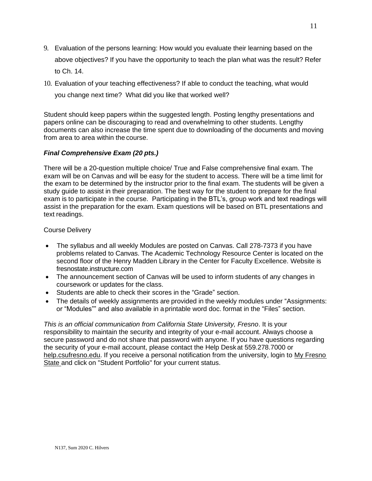- 9. Evaluation of the persons learning: How would you evaluate their learning based on the above objectives? If you have the opportunity to teach the plan what was the result? Refer to Ch. 14.
- 10. Evaluation of your teaching effectiveness? If able to conduct the teaching, what would

you change next time? What did you like that worked well?

Student should keep papers within the suggested length. Posting lengthy presentations and papers online can be discouraging to read and overwhelming to other students. Lengthy documents can also increase the time spent due to downloading of the documents and moving from area to area within the course.

# *Final Comprehensive Exam (20 pts.)*

There will be a 20-question multiple choice/ True and False comprehensive final exam. The exam will be on Canvas and will be easy for the student to access. There will be a time limit for the exam to be determined by the instructor prior to the final exam. The students will be given a study guide to assist in their preparation. The best way for the student to prepare for the final exam is to participate in the course. Participating in the BTL's, group work and text readings will assist in the preparation for the exam. Exam questions will be based on BTL presentations and text readings.

#### Course Delivery

- The syllabus and all weekly Modules are posted on Canvas. Call 278-7373 if you have problems related to Canvas. The Academic Technology Resource Center is located on the second floor of the Henry Madden Library in the Center for Faculty Excellence. Website is fresnostate.instructure.com
- The announcement section of Canvas will be used to inform students of any changes in coursework or updates for the class.
- Students are able to check their scores in the "Grade" section.
- The details of weekly assignments are provided in the weekly modules under "Assignments: or "Modules"" and also available in a printable word doc. format in the "Files" section.

*This is an official communication from California State University, Fresno*. It is your responsibility to maintain the security and integrity of your e-mail account. Always choose a secure password and do not share that password with anyone. If you have questions regarding the security of your e-mail account, please contact the Help Desk at 559.278.7000 or [help.csufresno.edu.](http://help.csufresno.edu/) If you receive a personal notification from the university, login to [My Fresno](http://my.csufresno.edu/)  [State a](http://my.csufresno.edu/)nd click on "Student Portfolio" for your current status.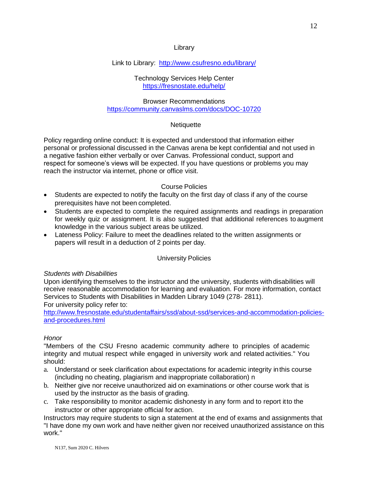### Library

# Link to Library: <http://www.csufresno.edu/library/>

#### Technology Services Help Center <https://fresnostate.edu/help/>

## Browser Recommendations <https://community.canvaslms.com/docs/DOC-10720>

# **Netiquette**

Policy regarding online conduct: It is expected and understood that information either personal or professional discussed in the Canvas arena be kept confidential and not used in a negative fashion either verbally or over Canvas. Professional conduct, support and respect for someone's views will be expected. If you have questions or problems you may reach the instructor via internet, phone or office visit.

# Course Policies

- Students are expected to notify the faculty on the first day of class if any of the course prerequisites have not been completed.
- Students are expected to complete the required assignments and readings in preparation for weekly quiz or assignment. It is also suggested that additional references to augment knowledge in the various subject areas be utilized.
- Lateness Policy: Failure to meet the deadlines related to the written assignments or papers will result in a deduction of 2 points per day.

# University Policies

# *Students with Disabilities*

Upon identifying themselves to the instructor and the university, students with disabilities will receive reasonable accommodation for learning and evaluation. For more information, contact Services to Students with Disabilities in Madden Library 1049 (278- 2811). For university policy refer to:

[http://www.fresnostate.edu/studentaffairs/ssd/about-ssd/services-and-accommodation-policies](http://www.fresnostate.edu/studentaffairs/ssd/about-ssd/services-and-accommodation-policies-and-procedures.html)[and-procedures.html](http://www.fresnostate.edu/studentaffairs/ssd/about-ssd/services-and-accommodation-policies-and-procedures.html)

# *Honor*

"Members of the CSU Fresno academic community adhere to principles of academic integrity and mutual respect while engaged in university work and related activities." You should:

- a. Understand or seek clarification about expectations for academic integrity inthis course (including no cheating, plagiarism and inappropriate collaboration) n
- b. Neither give nor receive unauthorized aid on examinations or other course work that is used by the instructor as the basis of grading.
- c. Take responsibility to monitor academic dishonesty in any form and to report itto the instructor or other appropriate official for action.

Instructors may require students to sign a statement at the end of exams and assignments that "I have done my own work and have neither given nor received unauthorized assistance on this work."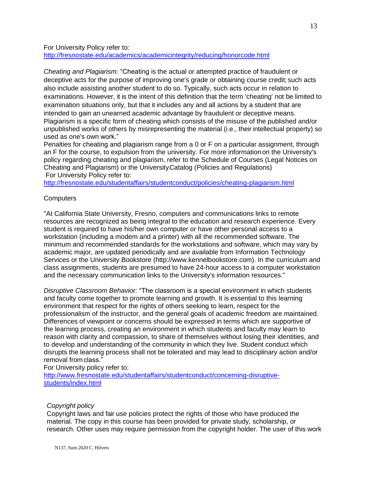For University Policy refer to:

<http://fresnostate.edu/academics/academicintegrity/reducing/honorcode.html>

*Cheating and Plagiarism:* "Cheating is the actual or attempted practice of fraudulent or deceptive acts for the purpose of improving one's grade or obtaining course credit; such acts also include assisting another student to do so. Typically, such acts occur in relation to examinations. However, it is the intent of this definition that the term 'cheating' not be limited to examination situations only, but that it includes any and all actions by a student that are intended to gain an unearned academic advantage by fraudulent or deceptive means. Plagiarism is a specific form of cheating which consists of the misuse of the published and/or unpublished works of others by misrepresenting the material (i.e., their intellectual property) so used as one's own work."

Penalties for cheating and plagiarism range from a 0 or F on a particular assignment, through an F for the course, to expulsion from the university. For more informationon the University's policy regarding cheating and plagiarism, refer to the Schedule of Courses (Legal Notices on Cheating and Plagiarism) or the UniversityCatalog (Policies and Regulations) For University Policy refer to:

<http://fresnostate.edu/studentaffairs/studentconduct/policies/cheating-plagiarism.html>

# **Computers**

"At California State University, Fresno, computers and communications links to remote resources are recognized as being integral to the education and research experience. Every student is required to have his/her own computer or have other personal access to a workstation (including a modem and a printer) with all the recommended software. The minimum and recommended standards for the workstations and software, which may vary by academic major, are updated periodically and are available from Information Technology Services or the University Bookstore (http://www.kennelbookstore.com). In the curriculum and class assignments, students are presumed to have 24-hour access to a computer workstation and the necessary communication links to the University's information resources."

*Disruptive Classroom Behavior:* "The classroom is a special environment in which students and faculty come together to promote learning and growth. It is essential to this learning environment that respect for the rights of others seeking to learn, respect for the professionalism of the instructor, and the general goals of academic freedom are maintained. Differences of viewpoint or concerns should be expressed in terms which are supportive of the learning process, creating an environment in which students and faculty may learn to reason with clarity and compassion, to share of themselves without losing their identities, and to develop and understanding of the community in which they live. Student conduct which disrupts the learning process shall not be tolerated and may lead to disciplinary action and/or removal fromclass."

For University policy refer to: [http://www.fresnostate.edu/studentaffairs/studentconduct/concerning-disruptive](http://www.fresnostate.edu/studentaffairs/studentconduct/concerning-disruptive-students/index.html)[students/index.html](http://www.fresnostate.edu/studentaffairs/studentconduct/concerning-disruptive-students/index.html)

#### *Copyright policy*

Copyright laws and fair use policies protect the rights of those who have produced the material. The copy in this course has been provided for private study, scholarship, or research. Other uses may require permission from the copyright holder. The user of this work